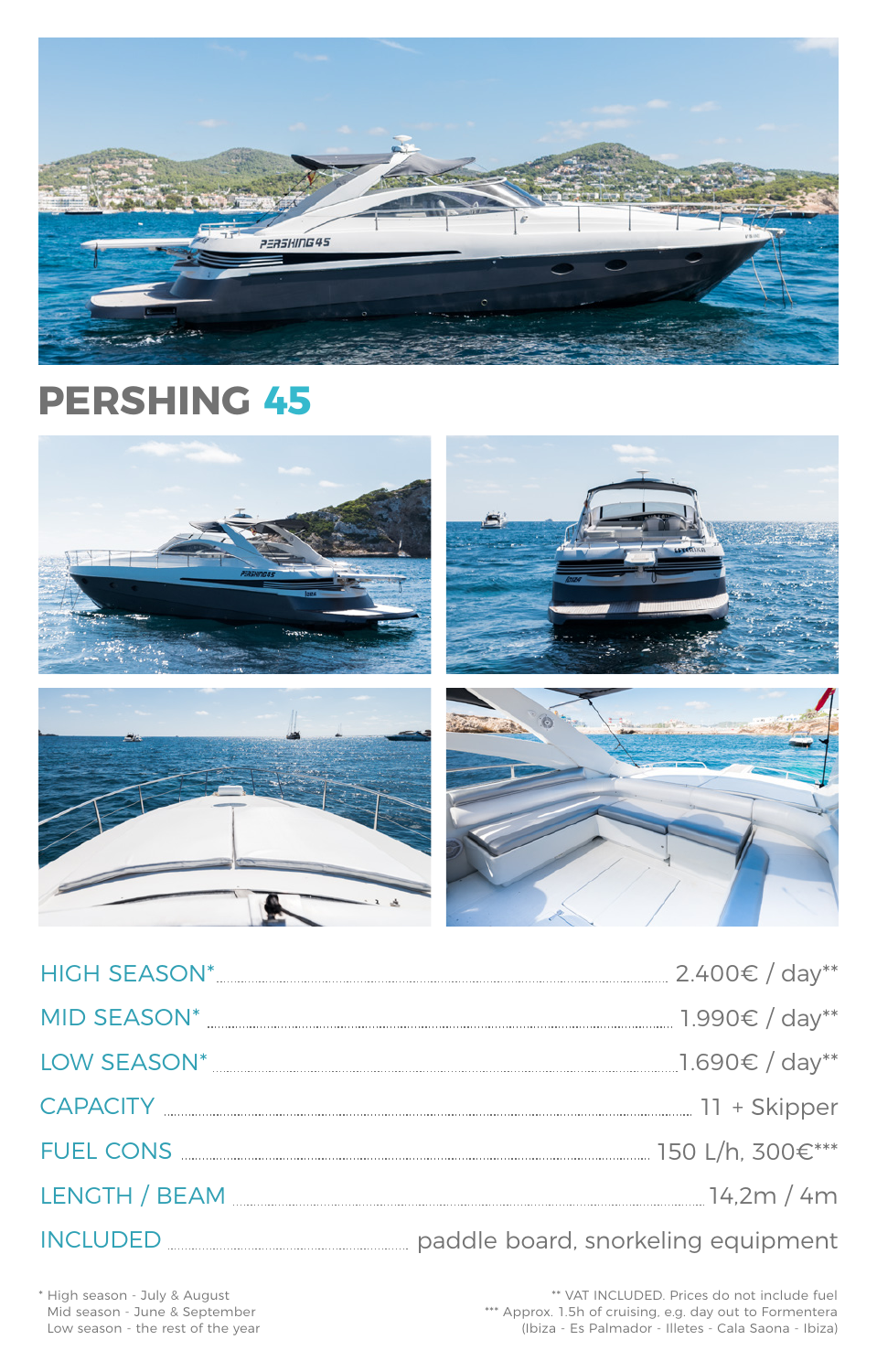| <b>HIGH SEASON*</b> | $2.400€ / day**$ |  |
|---------------------|------------------|--|
| MID SEASON*         | $1.990€ / day**$ |  |



LOW SEASON\* 1.690€ / day\*\*

CAPACITY 11 + Skipper

FUEL CONS 150 L/h, 300€\*\*\*

LENGTH / BEAM 14,2m / 4m

# INCLUDED paddle board, snorkeling equipment

\*\* VAT INCLUDED. Prices do not include fuel \*\*\* Approx. 1.5h of cruising, e.g. day out to Formentera (Ibiza - Es Palmador - Illetes - Cala Saona - Ibiza)

\* High season - July & August Mid season - June & September Low season - the rest of the year



# **PERSHING 45**